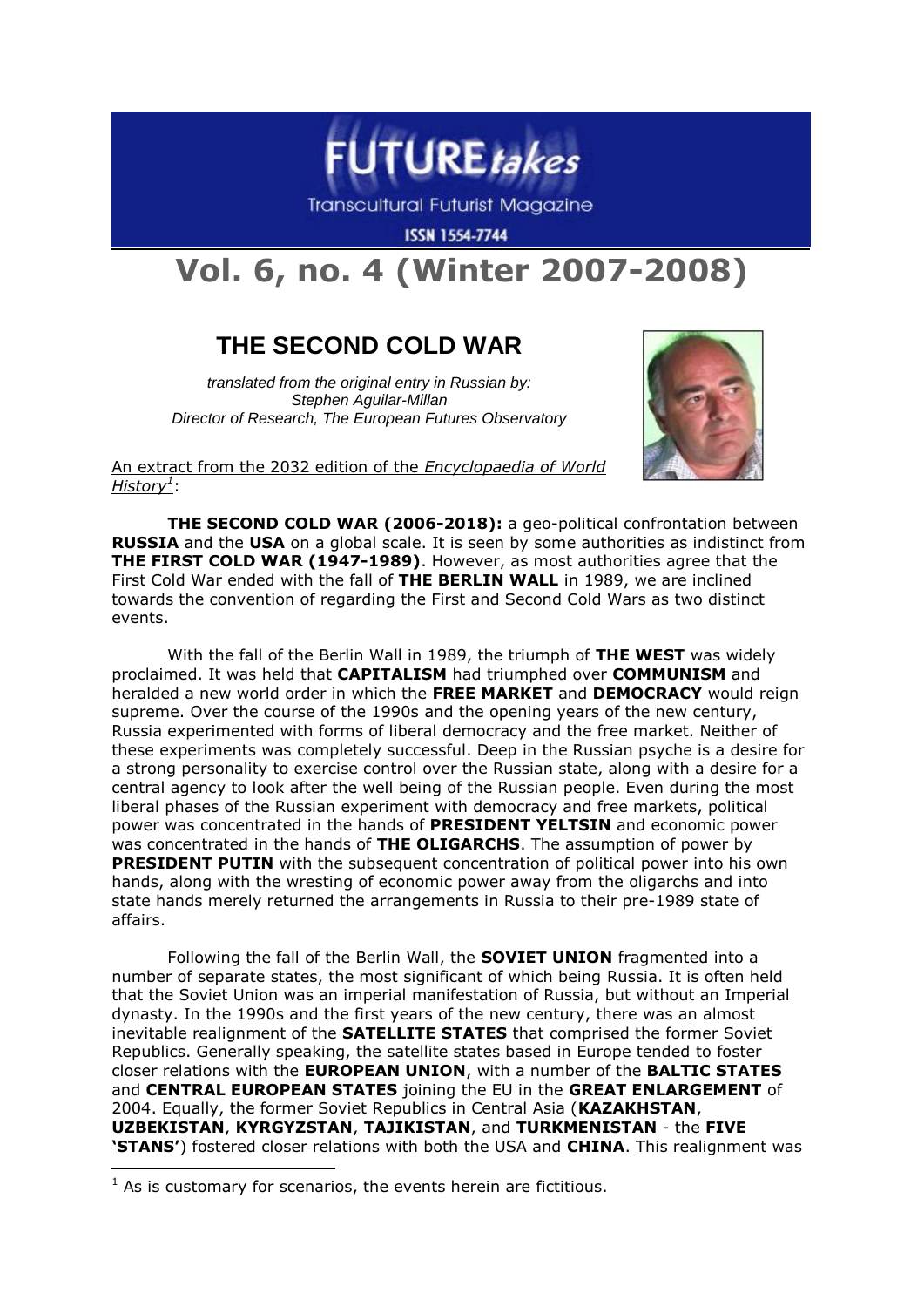

**Transcultural Futurist Magazine** 

**ISSN 1554-7744** 

## **Vol. 6, no. 4 (Winter 2007-2008)**

## **THE SECOND COLD WAR**

*translated from the original entry in Russian by: Stephen Aguilar-Millan Director of Research, The European Futures Observatory*



An extract from the 2032 edition of the *Encyclopaedia of World History<sup>1</sup>* :

**THE SECOND COLD WAR (2006-2018):** a geo-political confrontation between **RUSSIA** and the **USA** on a global scale. It is seen by some authorities as indistinct from **THE FIRST COLD WAR (1947-1989)**. However, as most authorities agree that the First Cold War ended with the fall of **THE BERLIN WALL** in 1989, we are inclined towards the convention of regarding the First and Second Cold Wars as two distinct events.

With the fall of the Berlin Wall in 1989, the triumph of **THE WEST** was widely proclaimed. It was held that **CAPITALISM** had triumphed over **COMMUNISM** and heralded a new world order in which the **FREE MARKET** and **DEMOCRACY** would reign supreme. Over the course of the 1990s and the opening years of the new century, Russia experimented with forms of liberal democracy and the free market. Neither of these experiments was completely successful. Deep in the Russian psyche is a desire for a strong personality to exercise control over the Russian state, along with a desire for a central agency to look after the well being of the Russian people. Even during the most liberal phases of the Russian experiment with democracy and free markets, political power was concentrated in the hands of **PRESIDENT YELTSIN** and economic power was concentrated in the hands of **THE OLIGARCHS**. The assumption of power by **PRESIDENT PUTIN** with the subsequent concentration of political power into his own hands, along with the wresting of economic power away from the oligarchs and into state hands merely returned the arrangements in Russia to their pre-1989 state of affairs.

Following the fall of the Berlin Wall, the **SOVIET UNION** fragmented into a number of separate states, the most significant of which being Russia. It is often held that the Soviet Union was an imperial manifestation of Russia, but without an Imperial dynasty. In the 1990s and the first years of the new century, there was an almost inevitable realignment of the **SATELLITE STATES** that comprised the former Soviet Republics. Generally speaking, the satellite states based in Europe tended to foster closer relations with the **EUROPEAN UNION**, with a number of the **BALTIC STATES** and **CENTRAL EUROPEAN STATES** joining the EU in the **GREAT ENLARGEMENT** of 2004. Equally, the former Soviet Republics in Central Asia (**KAZAKHSTAN**, **UZBEKISTAN**, **KYRGYZSTAN**, **TAJIKISTAN**, and **TURKMENISTAN** - the **FIVE 'STANS'**) fostered closer relations with both the USA and **CHINA**. This realignment was

-

 $1$  As is customary for scenarios, the events herein are fictitious.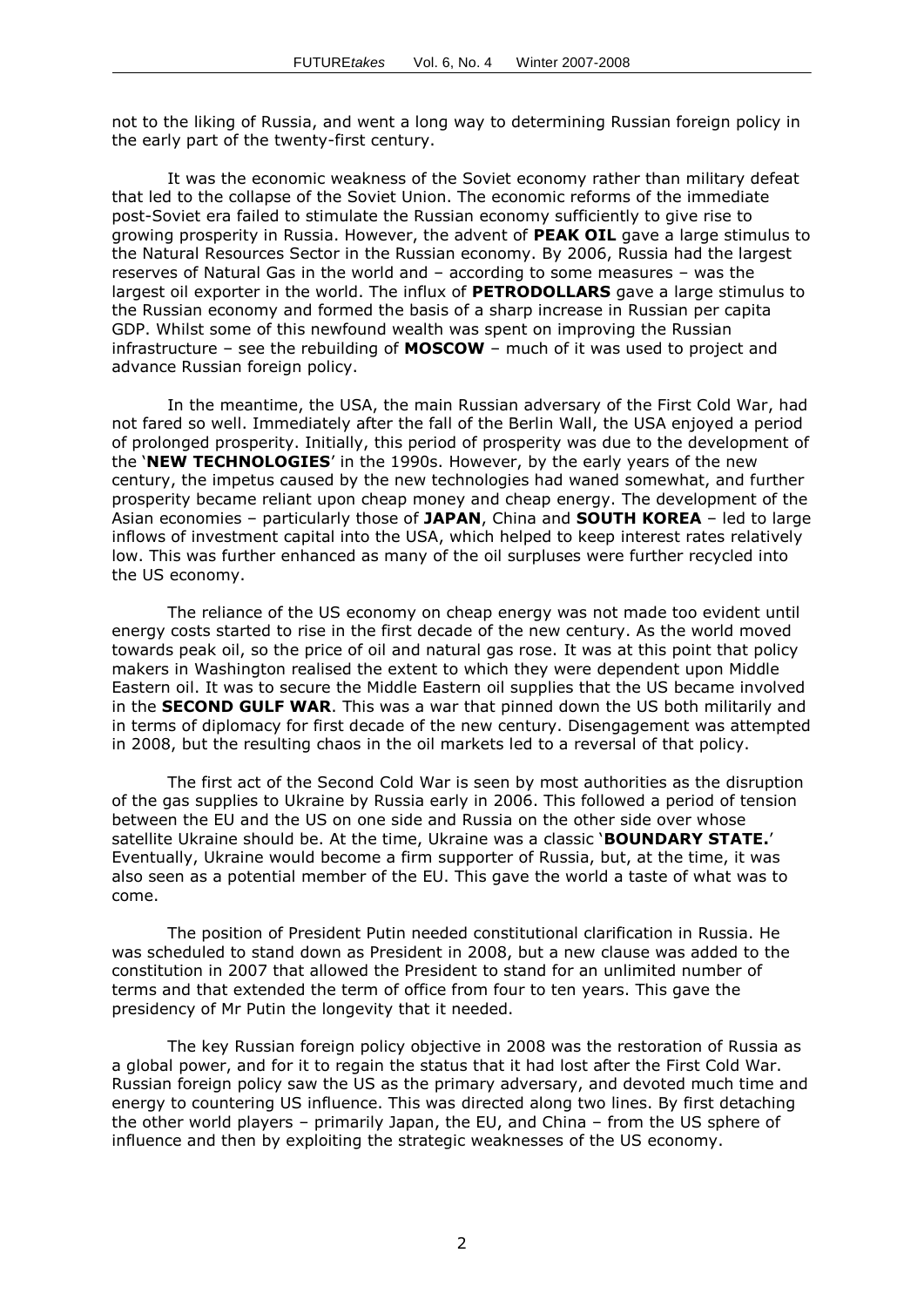not to the liking of Russia, and went a long way to determining Russian foreign policy in the early part of the twenty-first century.

It was the economic weakness of the Soviet economy rather than military defeat that led to the collapse of the Soviet Union. The economic reforms of the immediate post-Soviet era failed to stimulate the Russian economy sufficiently to give rise to growing prosperity in Russia. However, the advent of **PEAK OIL** gave a large stimulus to the Natural Resources Sector in the Russian economy. By 2006, Russia had the largest reserves of Natural Gas in the world and – according to some measures – was the largest oil exporter in the world. The influx of **PETRODOLLARS** gave a large stimulus to the Russian economy and formed the basis of a sharp increase in Russian per capita GDP. Whilst some of this newfound wealth was spent on improving the Russian infrastructure – see the rebuilding of **MOSCOW** – much of it was used to project and advance Russian foreign policy.

In the meantime, the USA, the main Russian adversary of the First Cold War, had not fared so well. Immediately after the fall of the Berlin Wall, the USA enjoyed a period of prolonged prosperity. Initially, this period of prosperity was due to the development of the '**NEW TECHNOLOGIES**' in the 1990s. However, by the early years of the new century, the impetus caused by the new technologies had waned somewhat, and further prosperity became reliant upon cheap money and cheap energy. The development of the Asian economies – particularly those of **JAPAN**, China and **SOUTH KOREA** – led to large inflows of investment capital into the USA, which helped to keep interest rates relatively low. This was further enhanced as many of the oil surpluses were further recycled into the US economy.

The reliance of the US economy on cheap energy was not made too evident until energy costs started to rise in the first decade of the new century. As the world moved towards peak oil, so the price of oil and natural gas rose. It was at this point that policy makers in Washington realised the extent to which they were dependent upon Middle Eastern oil. It was to secure the Middle Eastern oil supplies that the US became involved in the **SECOND GULF WAR**. This was a war that pinned down the US both militarily and in terms of diplomacy for first decade of the new century. Disengagement was attempted in 2008, but the resulting chaos in the oil markets led to a reversal of that policy.

The first act of the Second Cold War is seen by most authorities as the disruption of the gas supplies to Ukraine by Russia early in 2006. This followed a period of tension between the EU and the US on one side and Russia on the other side over whose satellite Ukraine should be. At the time, Ukraine was a classic '**BOUNDARY STATE.**' Eventually, Ukraine would become a firm supporter of Russia, but, at the time, it was also seen as a potential member of the EU. This gave the world a taste of what was to come.

The position of President Putin needed constitutional clarification in Russia. He was scheduled to stand down as President in 2008, but a new clause was added to the constitution in 2007 that allowed the President to stand for an unlimited number of terms and that extended the term of office from four to ten years. This gave the presidency of Mr Putin the longevity that it needed.

The key Russian foreign policy objective in 2008 was the restoration of Russia as a global power, and for it to regain the status that it had lost after the First Cold War. Russian foreign policy saw the US as the primary adversary, and devoted much time and energy to countering US influence. This was directed along two lines. By first detaching the other world players – primarily Japan, the EU, and China – from the US sphere of influence and then by exploiting the strategic weaknesses of the US economy.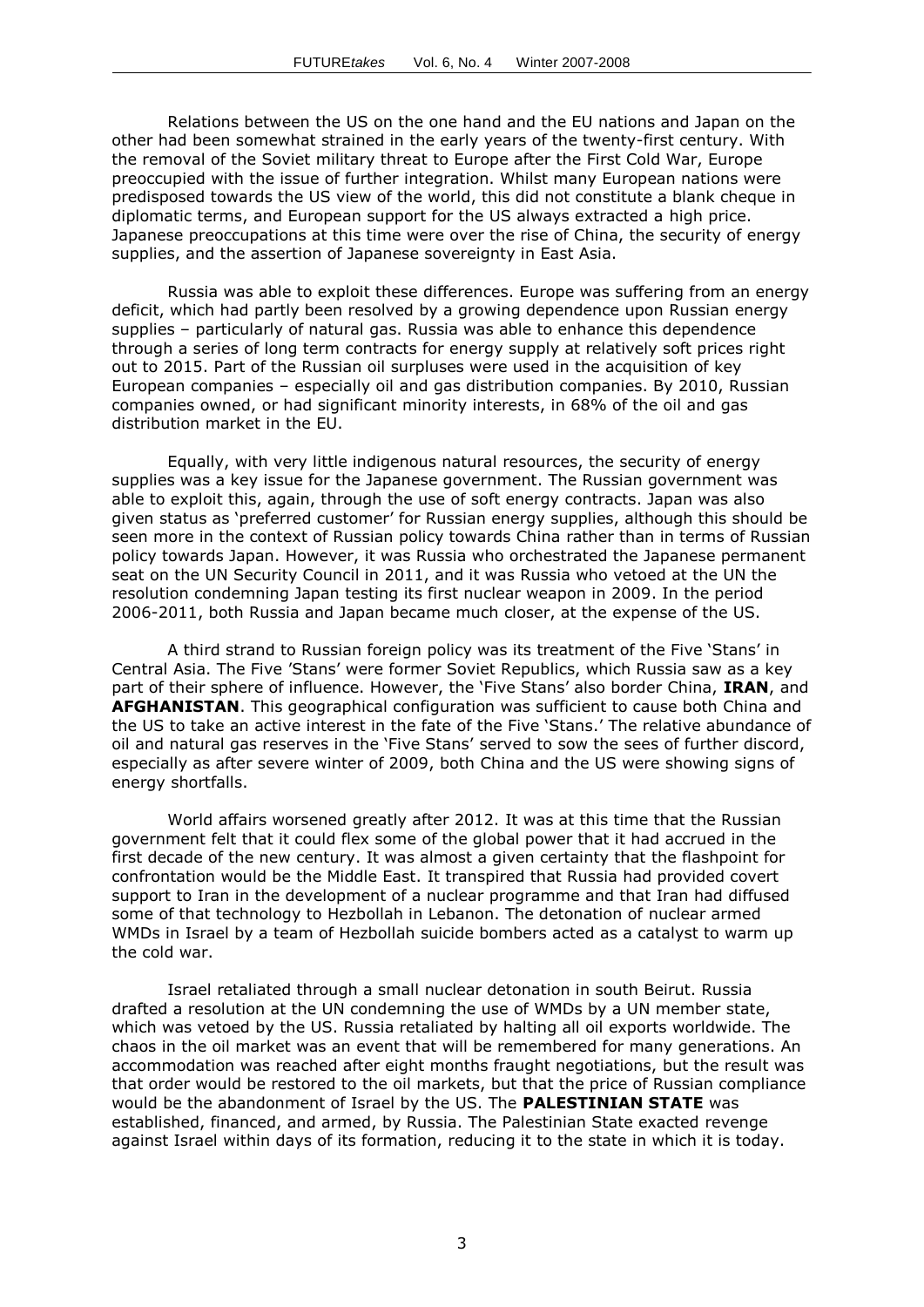Relations between the US on the one hand and the EU nations and Japan on the other had been somewhat strained in the early years of the twenty-first century. With the removal of the Soviet military threat to Europe after the First Cold War, Europe preoccupied with the issue of further integration. Whilst many European nations were predisposed towards the US view of the world, this did not constitute a blank cheque in diplomatic terms, and European support for the US always extracted a high price. Japanese preoccupations at this time were over the rise of China, the security of energy supplies, and the assertion of Japanese sovereignty in East Asia.

Russia was able to exploit these differences. Europe was suffering from an energy deficit, which had partly been resolved by a growing dependence upon Russian energy supplies – particularly of natural gas. Russia was able to enhance this dependence through a series of long term contracts for energy supply at relatively soft prices right out to 2015. Part of the Russian oil surpluses were used in the acquisition of key European companies – especially oil and gas distribution companies. By 2010, Russian companies owned, or had significant minority interests, in 68% of the oil and gas distribution market in the EU.

Equally, with very little indigenous natural resources, the security of energy supplies was a key issue for the Japanese government. The Russian government was able to exploit this, again, through the use of soft energy contracts. Japan was also given status as 'preferred customer' for Russian energy supplies, although this should be seen more in the context of Russian policy towards China rather than in terms of Russian policy towards Japan. However, it was Russia who orchestrated the Japanese permanent seat on the UN Security Council in 2011, and it was Russia who vetoed at the UN the resolution condemning Japan testing its first nuclear weapon in 2009. In the period 2006-2011, both Russia and Japan became much closer, at the expense of the US.

A third strand to Russian foreign policy was its treatment of the Five 'Stans' in Central Asia. The Five 'Stans' were former Soviet Republics, which Russia saw as a key part of their sphere of influence. However, the 'Five Stans' also border China, **IRAN**, and **AFGHANISTAN**. This geographical configuration was sufficient to cause both China and the US to take an active interest in the fate of the Five 'Stans.' The relative abundance of oil and natural gas reserves in the 'Five Stans' served to sow the sees of further discord, especially as after severe winter of 2009, both China and the US were showing signs of energy shortfalls.

World affairs worsened greatly after 2012. It was at this time that the Russian government felt that it could flex some of the global power that it had accrued in the first decade of the new century. It was almost a given certainty that the flashpoint for confrontation would be the Middle East. It transpired that Russia had provided covert support to Iran in the development of a nuclear programme and that Iran had diffused some of that technology to Hezbollah in Lebanon. The detonation of nuclear armed WMDs in Israel by a team of Hezbollah suicide bombers acted as a catalyst to warm up the cold war.

Israel retaliated through a small nuclear detonation in south Beirut. Russia drafted a resolution at the UN condemning the use of WMDs by a UN member state, which was vetoed by the US. Russia retaliated by halting all oil exports worldwide. The chaos in the oil market was an event that will be remembered for many generations. An accommodation was reached after eight months fraught negotiations, but the result was that order would be restored to the oil markets, but that the price of Russian compliance would be the abandonment of Israel by the US. The **PALESTINIAN STATE** was established, financed, and armed, by Russia. The Palestinian State exacted revenge against Israel within days of its formation, reducing it to the state in which it is today.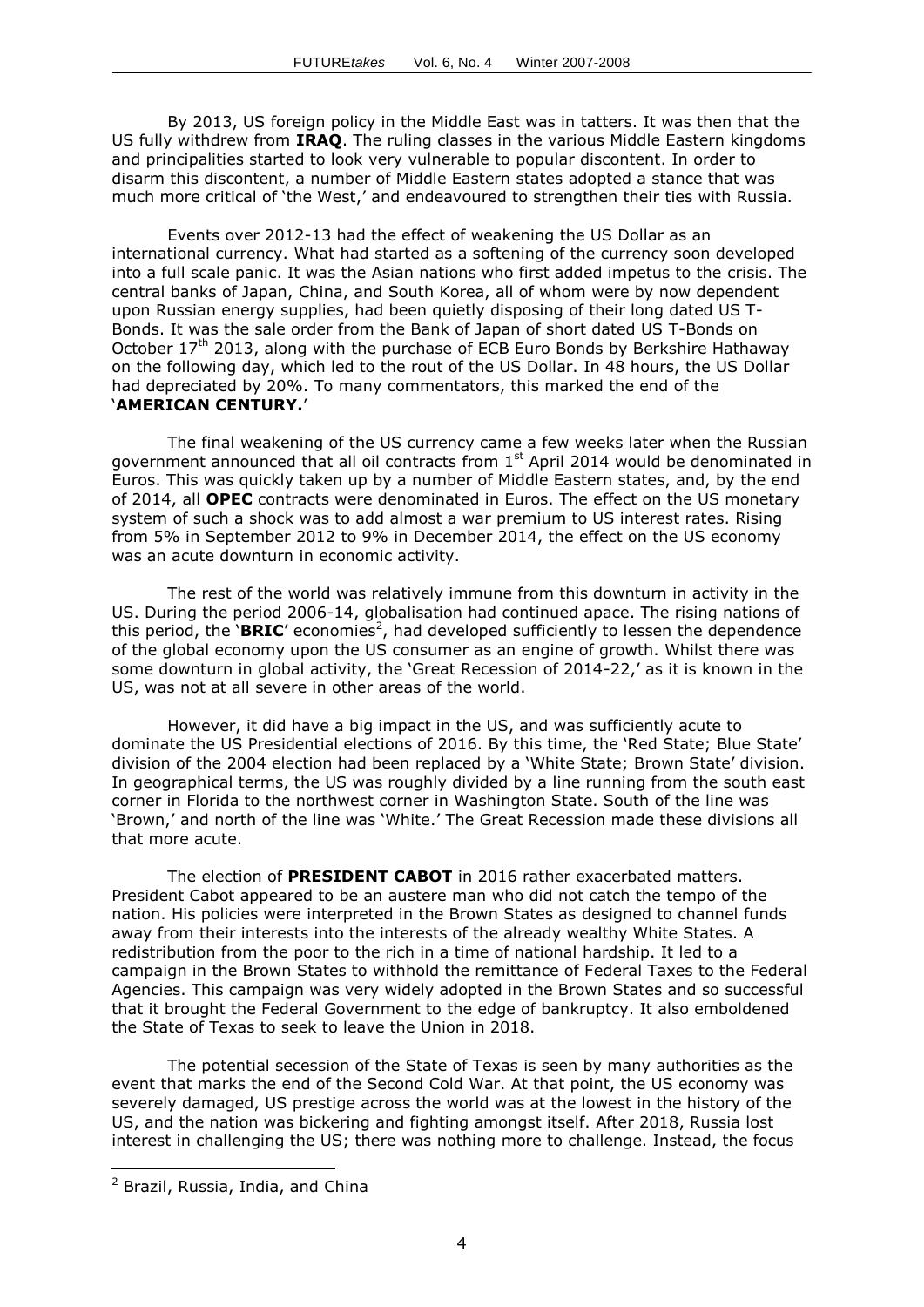By 2013, US foreign policy in the Middle East was in tatters. It was then that the US fully withdrew from **IRAQ**. The ruling classes in the various Middle Eastern kingdoms and principalities started to look very vulnerable to popular discontent. In order to disarm this discontent, a number of Middle Eastern states adopted a stance that was much more critical of 'the West,' and endeavoured to strengthen their ties with Russia.

Events over 2012-13 had the effect of weakening the US Dollar as an international currency. What had started as a softening of the currency soon developed into a full scale panic. It was the Asian nations who first added impetus to the crisis. The central banks of Japan, China, and South Korea, all of whom were by now dependent upon Russian energy supplies, had been quietly disposing of their long dated US T-Bonds. It was the sale order from the Bank of Japan of short dated US T-Bonds on October 17<sup>th</sup> 2013, along with the purchase of ECB Euro Bonds by Berkshire Hathaway on the following day, which led to the rout of the US Dollar. In 48 hours, the US Dollar had depreciated by 20%. To many commentators, this marked the end of the '**AMERICAN CENTURY.**'

The final weakening of the US currency came a few weeks later when the Russian government announced that all oil contracts from 1<sup>st</sup> April 2014 would be denominated in Euros. This was quickly taken up by a number of Middle Eastern states, and, by the end of 2014, all **OPEC** contracts were denominated in Euros. The effect on the US monetary system of such a shock was to add almost a war premium to US interest rates. Rising from 5% in September 2012 to 9% in December 2014, the effect on the US economy was an acute downturn in economic activity.

The rest of the world was relatively immune from this downturn in activity in the US. During the period 2006-14, globalisation had continued apace. The rising nations of this period, the 'BRIC' economies<sup>2</sup>, had developed sufficiently to lessen the dependence of the global economy upon the US consumer as an engine of growth. Whilst there was some downturn in global activity, the 'Great Recession of 2014-22,' as it is known in the US, was not at all severe in other areas of the world.

However, it did have a big impact in the US, and was sufficiently acute to dominate the US Presidential elections of 2016. By this time, the 'Red State; Blue State' division of the 2004 election had been replaced by a 'White State; Brown State' division. In geographical terms, the US was roughly divided by a line running from the south east corner in Florida to the northwest corner in Washington State. South of the line was 'Brown,' and north of the line was 'White.' The Great Recession made these divisions all that more acute.

The election of **PRESIDENT CABOT** in 2016 rather exacerbated matters. President Cabot appeared to be an austere man who did not catch the tempo of the nation. His policies were interpreted in the Brown States as designed to channel funds away from their interests into the interests of the already wealthy White States. A redistribution from the poor to the rich in a time of national hardship. It led to a campaign in the Brown States to withhold the remittance of Federal Taxes to the Federal Agencies. This campaign was very widely adopted in the Brown States and so successful that it brought the Federal Government to the edge of bankruptcy. It also emboldened the State of Texas to seek to leave the Union in 2018.

The potential secession of the State of Texas is seen by many authorities as the event that marks the end of the Second Cold War. At that point, the US economy was severely damaged, US prestige across the world was at the lowest in the history of the US, and the nation was bickering and fighting amongst itself. After 2018, Russia lost interest in challenging the US; there was nothing more to challenge. Instead, the focus

-

<sup>2</sup> Brazil, Russia, India, and China